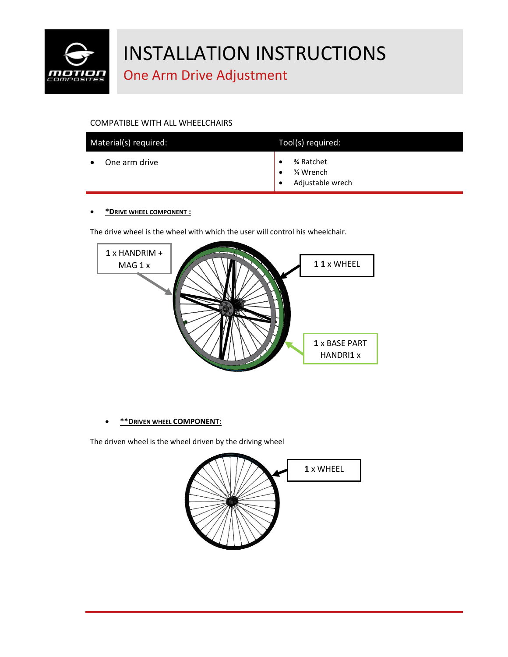

### One Arm Drive Adjustment

### COMPATIBLE WITH ALL WHEELCHAIRS

| Material(s) required: | Tool(s) required:                           |
|-----------------------|---------------------------------------------|
| One arm drive         | % Ratchet<br>3⁄4 Wrench<br>Adjustable wrech |

#### • **\*DRIVE WHEEL COMPONENT :**

The drive wheel is the wheel with which the user will control his wheelchair.



### • **\*\*DRIVEN WHEEL COMPONENT:**

The driven wheel is the wheel driven by the driving wheel

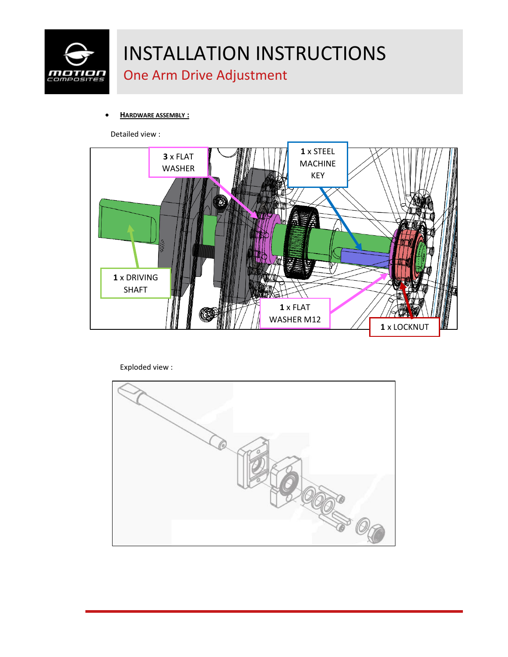

## One Arm Drive Adjustment

• **HARDWARE ASSEMBLY :**

Detailed view :



Exploded view :

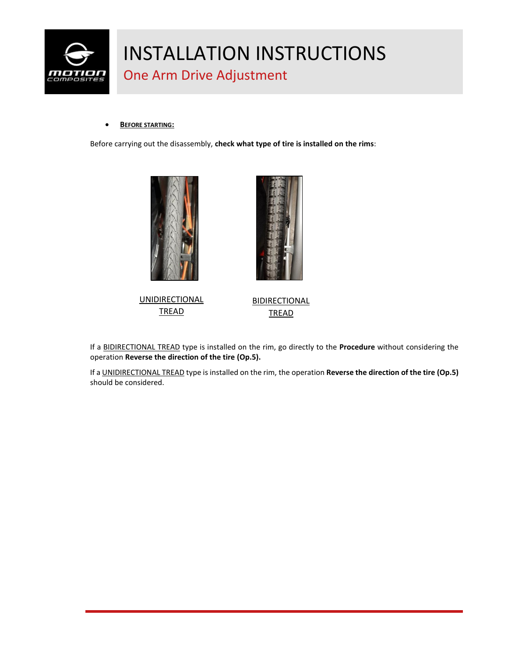

## One Arm Drive Adjustment

#### • **BEFORE STARTING:**

Before carrying out the disassembly, **check what type of tire is installed on the rims**:







**BIDIRECTIONAL** TREAD

If a BIDIRECTIONAL TREAD type is installed on the rim, go directly to the **Procedure** without considering the operation **Reverse the direction of the tire (Op.5).**

If a UNIDIRECTIONAL TREAD type is installed on the rim, the operation **Reverse the direction of the tire (Op.5)**  should be considered.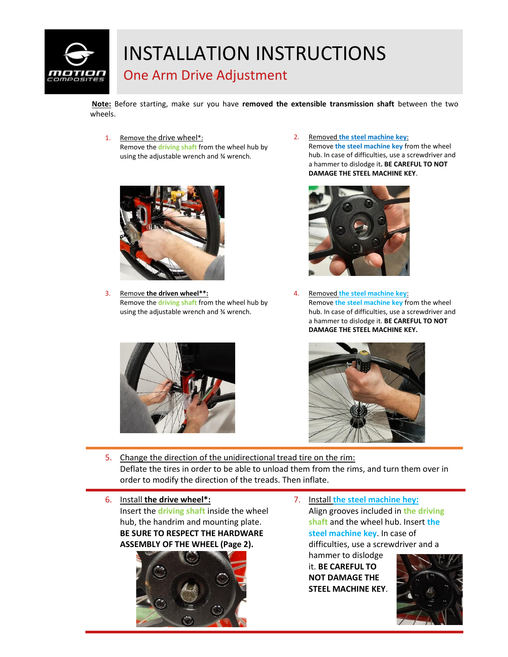

### One Arm Drive Adjustment

**Note:** Before starting, make sur you have **removed the extensible transmission shaft** between the two wheels.

1. Remove the drive wheel\*: Remove the **driving shaft** from the wheel hub by using the adjustable wrench and ¾ wrench.



3. Remove **the driven wheel\*\*:** Remove the **driving shaft** from the wheel hub by using the adjustable wrench and ¾ wrench.



2. Removed **the steel machine key**: Remove **the steel machine key** from the wheel hub. In case of difficulties, use a screwdriver and a hammer to dislodge it**. BE CAREFUL TO NOT DAMAGE THE STEEL MACHINE KEY**.



4. Removed **the steel machine key**: Remove **the steel machine key** from the wheel hub. In case of difficulties, use a screwdriver and a hammer to dislodge it. **BE CAREFUL TO NOT DAMAGE THE STEEL MACHINE KEY.**



- 5. Change the direction of the unidirectional tread tire on the rim: Deflate the tires in order to be able to unload them from the rims, and turn them over in order to modify the direction of the treads. Then inflate.
- 6. Install **the drive wheel\*:** Insert the **driving shaft** inside the wheel hub, the handrim and mounting plate. **BE SURE TO RESPECT THE HARDWARE ASSEMBLY OF THE WHEEL (Page 2).**



7. Install **the steel machine hey:** Align grooves included in **the driving shaft** and the wheel hub. Insert **the steel machine key**. In case of difficulties, use a screwdriver and a

hammer to dislodge it. **BE CAREFUL TO NOT DAMAGE THE STEEL MACHINE KEY**.